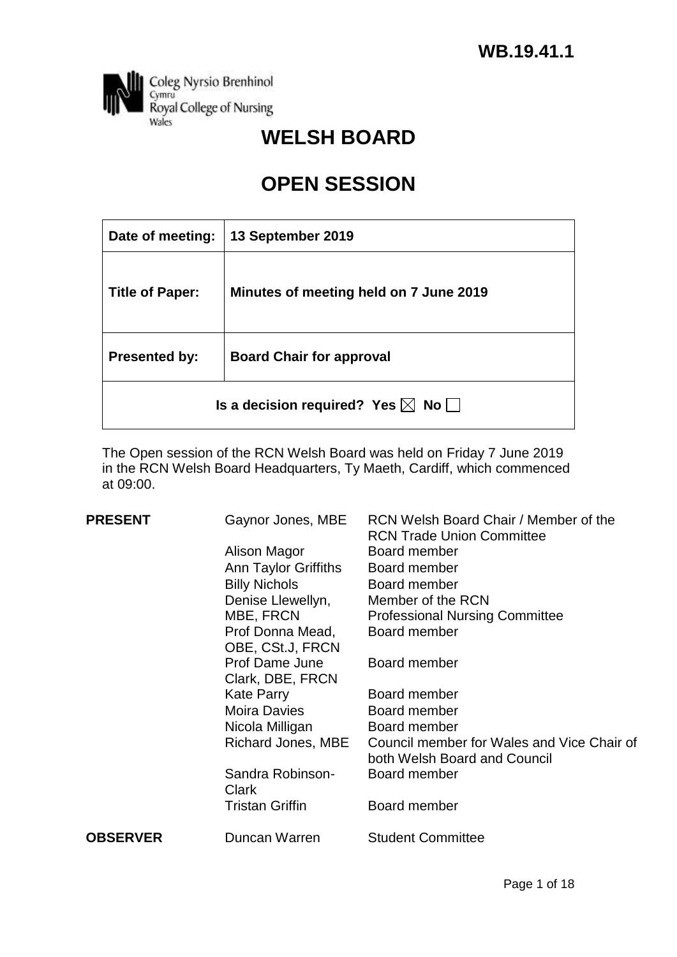

# **WELSH BOARD**

# **OPEN SESSION**

| Date of meeting:                                  | 13 September 2019                      |  |  |  |
|---------------------------------------------------|----------------------------------------|--|--|--|
| <b>Title of Paper:</b>                            | Minutes of meeting held on 7 June 2019 |  |  |  |
| <b>Presented by:</b>                              | <b>Board Chair for approval</b>        |  |  |  |
| Is a decision required? Yes $\boxtimes$ No $\Box$ |                                        |  |  |  |

The Open session of the RCN Welsh Board was held on Friday 7 June 2019 in the RCN Welsh Board Headquarters, Ty Maeth, Cardiff, which commenced at 09:00.

| <b>PRESENT</b>  | Gaynor Jones, MBE                    | RCN Welsh Board Chair / Member of the<br><b>RCN Trade Union Committee</b>  |
|-----------------|--------------------------------------|----------------------------------------------------------------------------|
|                 | Alison Magor                         | Board member                                                               |
|                 | Ann Taylor Griffiths                 | Board member                                                               |
|                 | <b>Billy Nichols</b>                 | Board member                                                               |
|                 | Denise Llewellyn,                    | Member of the RCN                                                          |
|                 | MBE, FRCN                            | <b>Professional Nursing Committee</b>                                      |
|                 | Prof Donna Mead,<br>OBE, CSt.J, FRCN | Board member                                                               |
|                 | Prof Dame June<br>Clark, DBE, FRCN   | Board member                                                               |
|                 | <b>Kate Parry</b>                    | Board member                                                               |
|                 | Moira Davies                         | Board member                                                               |
|                 | Nicola Milligan                      | Board member                                                               |
|                 | Richard Jones, MBE                   | Council member for Wales and Vice Chair of<br>both Welsh Board and Council |
|                 | Sandra Robinson-<br>Clark            | Board member                                                               |
|                 | Tristan Griffin                      | Board member                                                               |
| <b>OBSERVER</b> | Duncan Warren                        | <b>Student Committee</b>                                                   |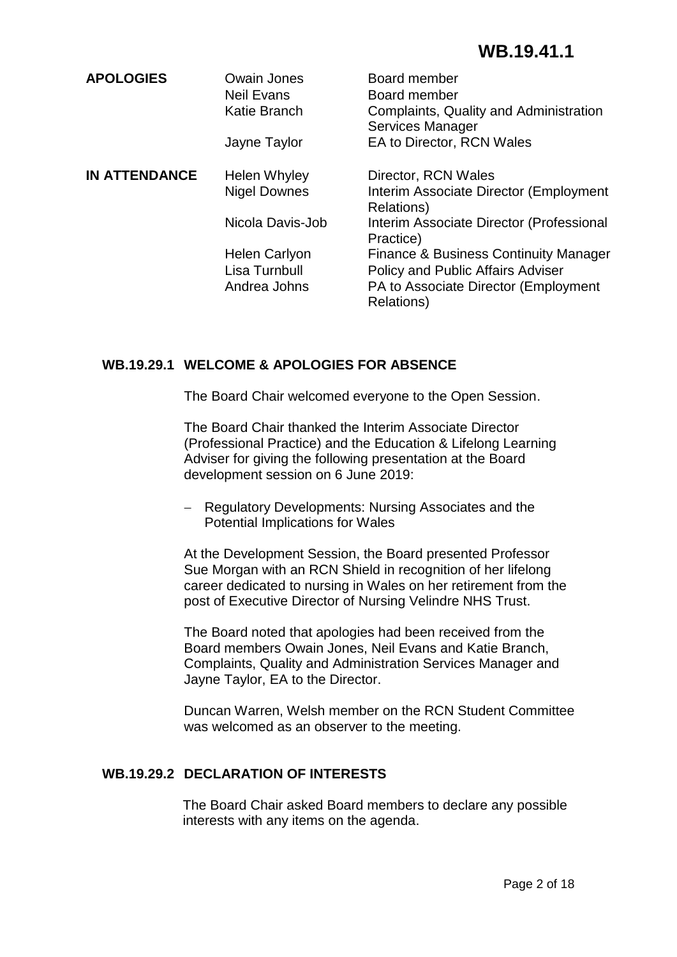| <b>APOLOGIES</b>     | Owain Jones<br><b>Neil Evans</b><br><b>Katie Branch</b><br>Jayne Taylor   | Board member<br>Board member<br>Complaints, Quality and Administration<br><b>Services Manager</b><br>EA to Director, RCN Wales                                                                                      |
|----------------------|---------------------------------------------------------------------------|---------------------------------------------------------------------------------------------------------------------------------------------------------------------------------------------------------------------|
| <b>IN ATTENDANCE</b> | Helen Whyley<br><b>Nigel Downes</b>                                       | Director, RCN Wales<br>Interim Associate Director (Employment<br><b>Relations</b> )                                                                                                                                 |
|                      | Nicola Davis-Job<br><b>Helen Carlyon</b><br>Lisa Turnbull<br>Andrea Johns | Interim Associate Director (Professional<br>Practice)<br><b>Finance &amp; Business Continuity Manager</b><br><b>Policy and Public Affairs Adviser</b><br>PA to Associate Director (Employment<br><b>Relations</b> ) |
|                      |                                                                           |                                                                                                                                                                                                                     |

## **WB.19.29.1 WELCOME & APOLOGIES FOR ABSENCE**

The Board Chair welcomed everyone to the Open Session.

The Board Chair thanked the Interim Associate Director (Professional Practice) and the Education & Lifelong Learning Adviser for giving the following presentation at the Board development session on 6 June 2019:

 Regulatory Developments: Nursing Associates and the Potential Implications for Wales

At the Development Session, the Board presented Professor Sue Morgan with an RCN Shield in recognition of her lifelong career dedicated to nursing in Wales on her retirement from the post of Executive Director of Nursing Velindre NHS Trust.

The Board noted that apologies had been received from the Board members Owain Jones, Neil Evans and Katie Branch, Complaints, Quality and Administration Services Manager and Jayne Taylor, EA to the Director.

Duncan Warren, Welsh member on the RCN Student Committee was welcomed as an observer to the meeting.

## **WB.19.29.2 DECLARATION OF INTERESTS**

The Board Chair asked Board members to declare any possible interests with any items on the agenda.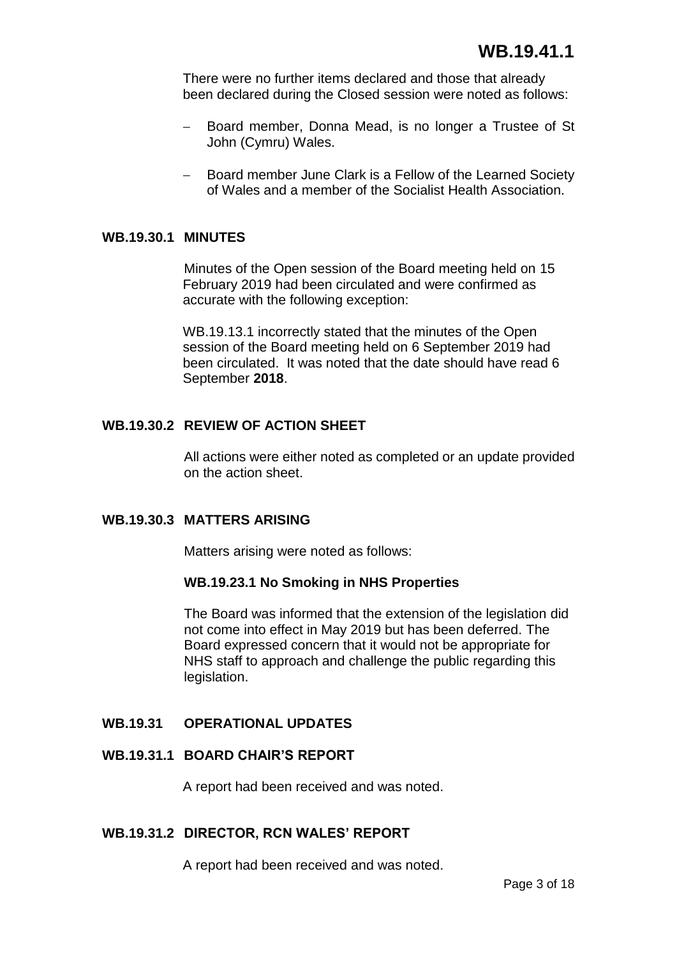There were no further items declared and those that already been declared during the Closed session were noted as follows:

- Board member, Donna Mead, is no longer a Trustee of St John (Cymru) Wales.
- Board member June Clark is a Fellow of the Learned Society of Wales and a member of the Socialist Health Association.

#### **WB.19.30.1 MINUTES**

Minutes of the Open session of the Board meeting held on 15 February 2019 had been circulated and were confirmed as accurate with the following exception:

WB.19.13.1 incorrectly stated that the minutes of the Open session of the Board meeting held on 6 September 2019 had been circulated. It was noted that the date should have read 6 September **2018**.

### **WB.19.30.2 REVIEW OF ACTION SHEET**

All actions were either noted as completed or an update provided on the action sheet.

## **WB.19.30.3 MATTERS ARISING**

Matters arising were noted as follows:

#### **WB.19.23.1 No Smoking in NHS Properties**

The Board was informed that the extension of the legislation did not come into effect in May 2019 but has been deferred. The Board expressed concern that it would not be appropriate for NHS staff to approach and challenge the public regarding this legislation.

### **WB.19.31 OPERATIONAL UPDATES**

## **WB.19.31.1 BOARD CHAIR'S REPORT**

A report had been received and was noted.

#### **WB.19.31.2 DIRECTOR, RCN WALES' REPORT**

A report had been received and was noted.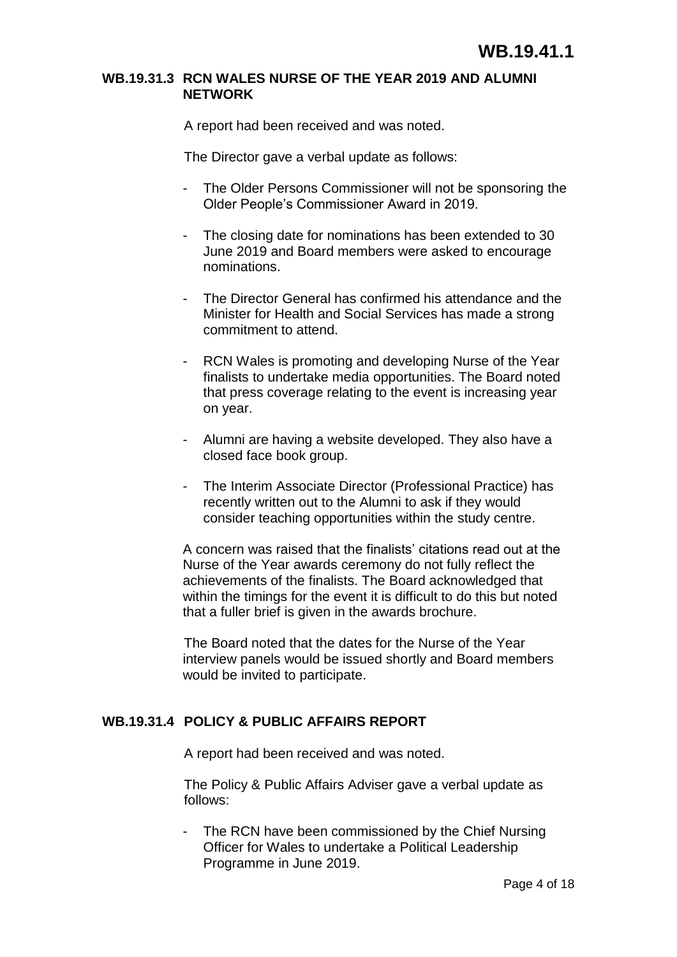#### **WB.19.31.3 RCN WALES NURSE OF THE YEAR 2019 AND ALUMNI NETWORK**

A report had been received and was noted.

The Director gave a verbal update as follows:

- The Older Persons Commissioner will not be sponsoring the Older People's Commissioner Award in 2019.
- The closing date for nominations has been extended to 30 June 2019 and Board members were asked to encourage nominations.
- The Director General has confirmed his attendance and the Minister for Health and Social Services has made a strong commitment to attend.
- RCN Wales is promoting and developing Nurse of the Year finalists to undertake media opportunities. The Board noted that press coverage relating to the event is increasing year on year.
- Alumni are having a website developed. They also have a closed face book group.
- The Interim Associate Director (Professional Practice) has recently written out to the Alumni to ask if they would consider teaching opportunities within the study centre.

A concern was raised that the finalists' citations read out at the Nurse of the Year awards ceremony do not fully reflect the achievements of the finalists. The Board acknowledged that within the timings for the event it is difficult to do this but noted that a fuller brief is given in the awards brochure.

The Board noted that the dates for the Nurse of the Year interview panels would be issued shortly and Board members would be invited to participate.

## **WB.19.31.4 POLICY & PUBLIC AFFAIRS REPORT**

A report had been received and was noted.

The Policy & Public Affairs Adviser gave a verbal update as follows:

- The RCN have been commissioned by the Chief Nursing Officer for Wales to undertake a Political Leadership Programme in June 2019.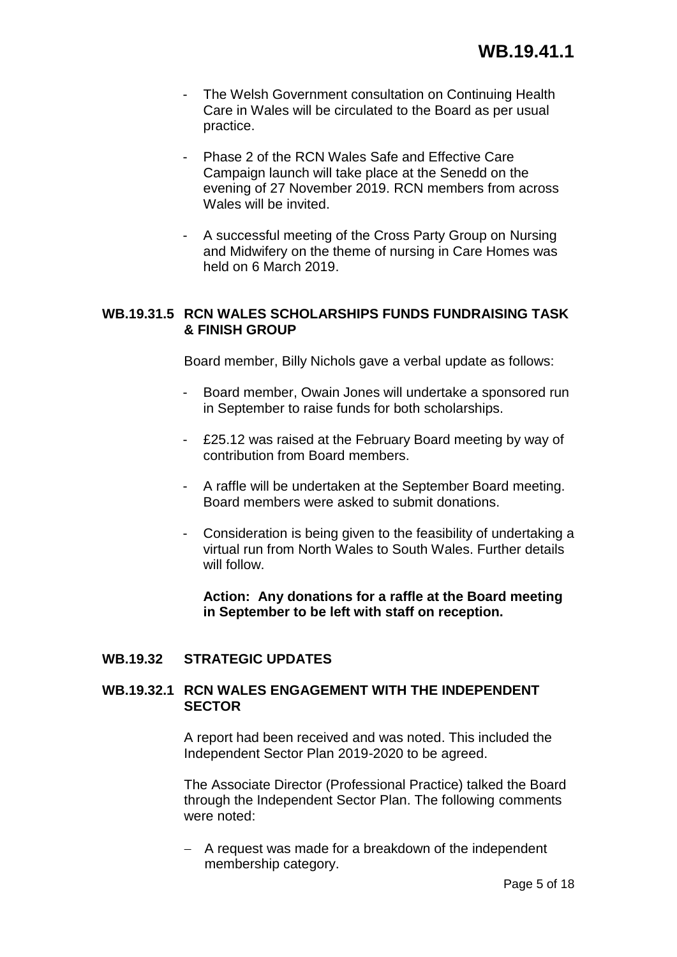- The Welsh Government consultation on Continuing Health Care in Wales will be circulated to the Board as per usual practice.
- Phase 2 of the RCN Wales Safe and Effective Care Campaign launch will take place at the Senedd on the evening of 27 November 2019. RCN members from across Wales will be invited.
- A successful meeting of the Cross Party Group on Nursing and Midwifery on the theme of nursing in Care Homes was held on 6 March 2019.

## **WB.19.31.5 RCN WALES SCHOLARSHIPS FUNDS FUNDRAISING TASK & FINISH GROUP**

Board member, Billy Nichols gave a verbal update as follows:

- Board member, Owain Jones will undertake a sponsored run in September to raise funds for both scholarships.
- £25.12 was raised at the February Board meeting by way of contribution from Board members.
- A raffle will be undertaken at the September Board meeting. Board members were asked to submit donations.
- Consideration is being given to the feasibility of undertaking a virtual run from North Wales to South Wales. Further details will follow.

**Action: Any donations for a raffle at the Board meeting in September to be left with staff on reception.**

## **WB.19.32 STRATEGIC UPDATES**

## **WB.19.32.1 RCN WALES ENGAGEMENT WITH THE INDEPENDENT SECTOR**

A report had been received and was noted. This included the Independent Sector Plan 2019-2020 to be agreed.

The Associate Director (Professional Practice) talked the Board through the Independent Sector Plan. The following comments were noted:

 $-$  A request was made for a breakdown of the independent membership category.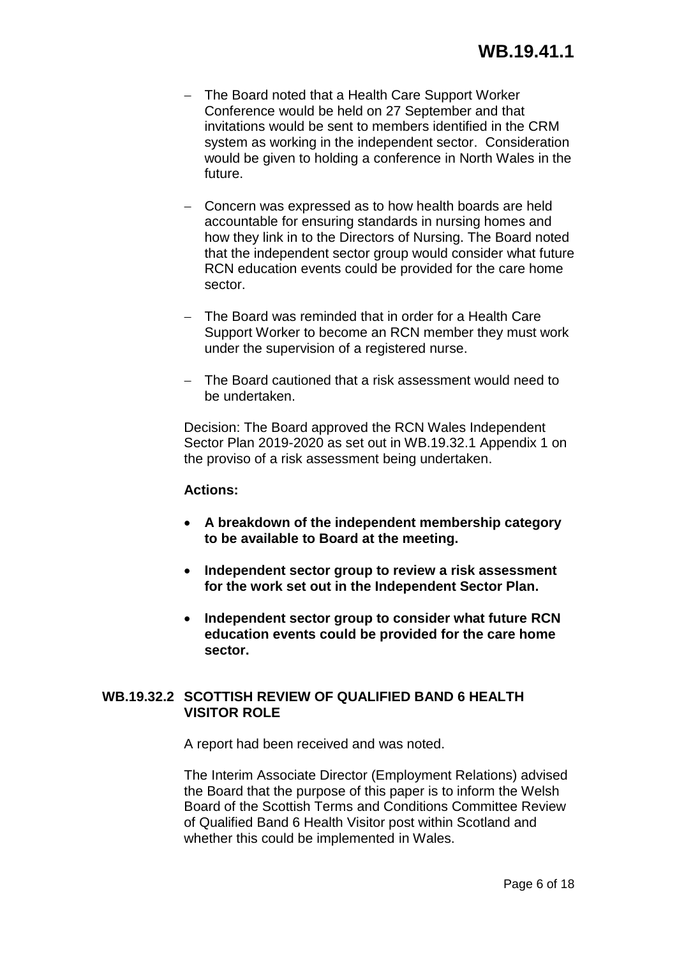- The Board noted that a Health Care Support Worker Conference would be held on 27 September and that invitations would be sent to members identified in the CRM system as working in the independent sector. Consideration would be given to holding a conference in North Wales in the future.
- Concern was expressed as to how health boards are held accountable for ensuring standards in nursing homes and how they link in to the Directors of Nursing. The Board noted that the independent sector group would consider what future RCN education events could be provided for the care home sector.
- The Board was reminded that in order for a Health Care Support Worker to become an RCN member they must work under the supervision of a registered nurse.
- The Board cautioned that a risk assessment would need to be undertaken.

Decision: The Board approved the RCN Wales Independent Sector Plan 2019-2020 as set out in WB.19.32.1 Appendix 1 on the proviso of a risk assessment being undertaken.

## **Actions:**

- **A breakdown of the independent membership category to be available to Board at the meeting.**
- **Independent sector group to review a risk assessment for the work set out in the Independent Sector Plan.**
- **Independent sector group to consider what future RCN education events could be provided for the care home sector.**

## **WB.19.32.2 SCOTTISH REVIEW OF QUALIFIED BAND 6 HEALTH VISITOR ROLE**

A report had been received and was noted.

The Interim Associate Director (Employment Relations) advised the Board that the purpose of this paper is to inform the Welsh Board of the Scottish Terms and Conditions Committee Review of Qualified Band 6 Health Visitor post within Scotland and whether this could be implemented in Wales.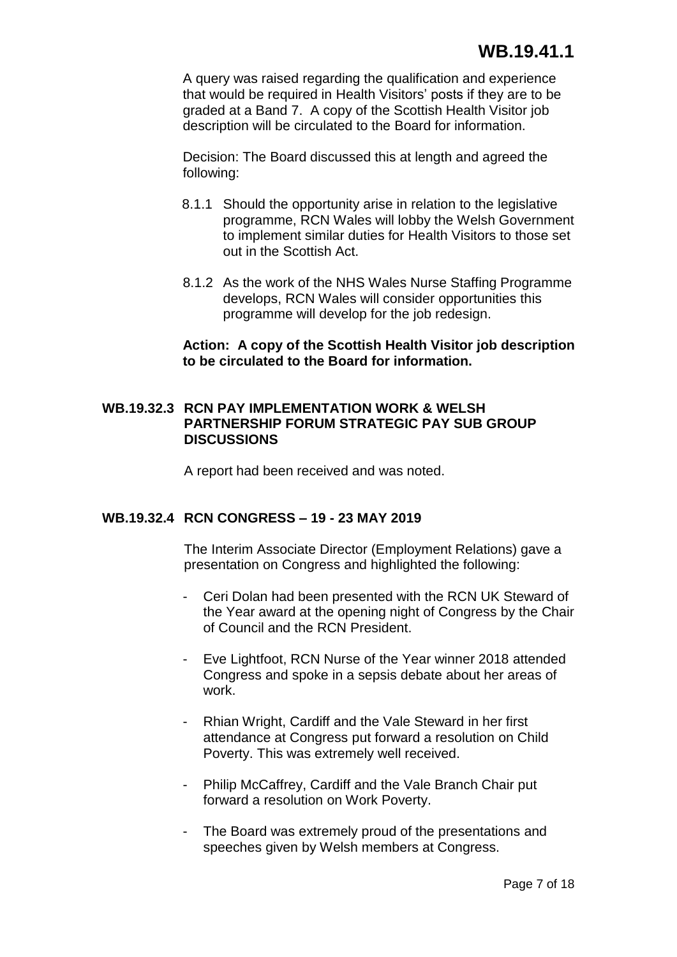A query was raised regarding the qualification and experience that would be required in Health Visitors' posts if they are to be graded at a Band 7. A copy of the Scottish Health Visitor job description will be circulated to the Board for information.

Decision: The Board discussed this at length and agreed the following:

- 8.1.1 Should the opportunity arise in relation to the legislative programme, RCN Wales will lobby the Welsh Government to implement similar duties for Health Visitors to those set out in the Scottish Act.
- 8.1.2 As the work of the NHS Wales Nurse Staffing Programme develops, RCN Wales will consider opportunities this programme will develop for the job redesign.

## **Action: A copy of the Scottish Health Visitor job description to be circulated to the Board for information.**

### **WB.19.32.3 RCN PAY IMPLEMENTATION WORK & WELSH PARTNERSHIP FORUM STRATEGIC PAY SUB GROUP DISCUSSIONS**

A report had been received and was noted.

## **WB.19.32.4 RCN CONGRESS – 19 - 23 MAY 2019**

The Interim Associate Director (Employment Relations) gave a presentation on Congress and highlighted the following:

- Ceri Dolan had been presented with the RCN UK Steward of the Year award at the opening night of Congress by the Chair of Council and the RCN President.
- Eve Lightfoot, RCN Nurse of the Year winner 2018 attended Congress and spoke in a sepsis debate about her areas of work.
- Rhian Wright, Cardiff and the Vale Steward in her first attendance at Congress put forward a resolution on Child Poverty. This was extremely well received.
- Philip McCaffrey, Cardiff and the Vale Branch Chair put forward a resolution on Work Poverty.
- The Board was extremely proud of the presentations and speeches given by Welsh members at Congress.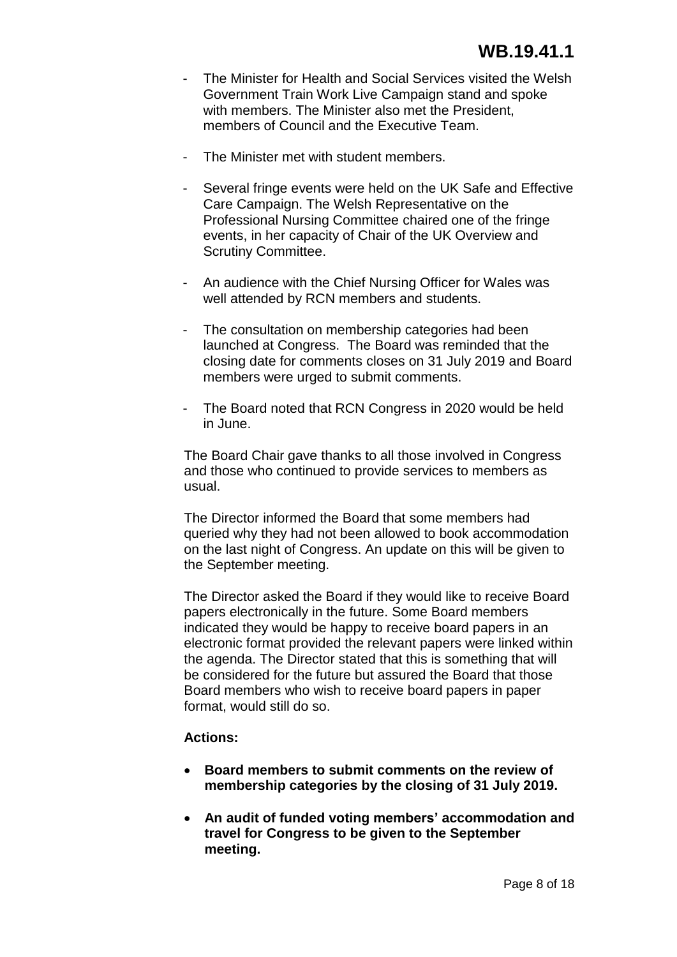- The Minister for Health and Social Services visited the Welsh Government Train Work Live Campaign stand and spoke with members. The Minister also met the President, members of Council and the Executive Team.
- The Minister met with student members.
- Several fringe events were held on the UK Safe and Effective Care Campaign. The Welsh Representative on the Professional Nursing Committee chaired one of the fringe events, in her capacity of Chair of the UK Overview and Scrutiny Committee.
- An audience with the Chief Nursing Officer for Wales was well attended by RCN members and students.
- The consultation on membership categories had been launched at Congress. The Board was reminded that the closing date for comments closes on 31 July 2019 and Board members were urged to submit comments.
- The Board noted that RCN Congress in 2020 would be held in June.

The Board Chair gave thanks to all those involved in Congress and those who continued to provide services to members as usual.

The Director informed the Board that some members had queried why they had not been allowed to book accommodation on the last night of Congress. An update on this will be given to the September meeting.

The Director asked the Board if they would like to receive Board papers electronically in the future. Some Board members indicated they would be happy to receive board papers in an electronic format provided the relevant papers were linked within the agenda. The Director stated that this is something that will be considered for the future but assured the Board that those Board members who wish to receive board papers in paper format, would still do so.

## **Actions:**

- **Board members to submit comments on the review of membership categories by the closing of 31 July 2019.**
- **An audit of funded voting members' accommodation and travel for Congress to be given to the September meeting.**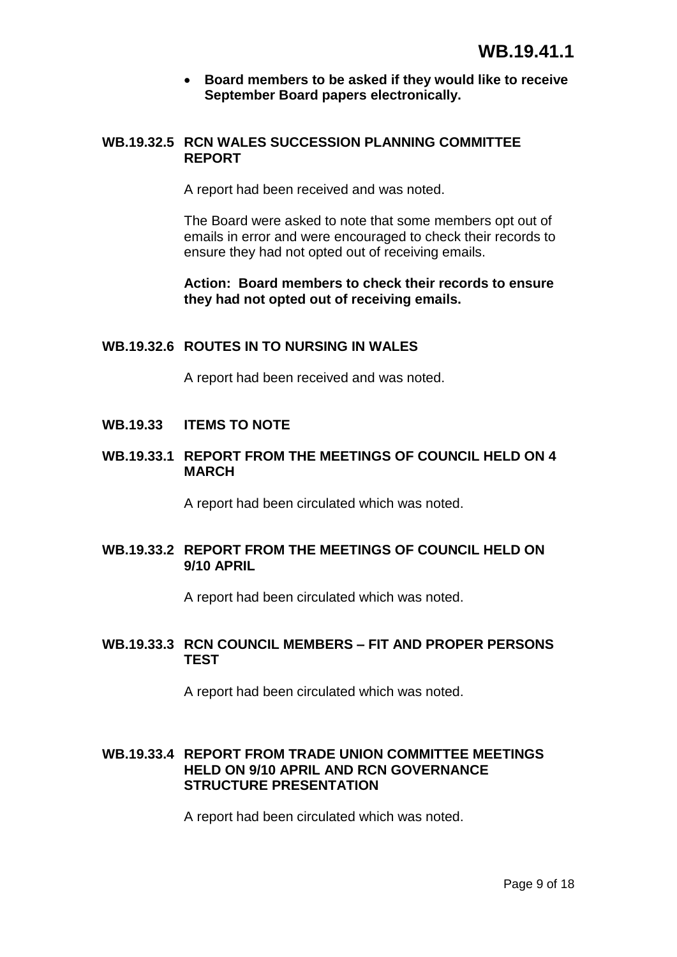### **Board members to be asked if they would like to receive September Board papers electronically.**

## **WB.19.32.5 RCN WALES SUCCESSION PLANNING COMMITTEE REPORT**

A report had been received and was noted.

The Board were asked to note that some members opt out of emails in error and were encouraged to check their records to ensure they had not opted out of receiving emails.

**Action: Board members to check their records to ensure they had not opted out of receiving emails.**

## **WB.19.32.6 ROUTES IN TO NURSING IN WALES**

A report had been received and was noted.

## **WB.19.33 ITEMS TO NOTE**

## **WB.19.33.1 REPORT FROM THE MEETINGS OF COUNCIL HELD ON 4 MARCH**

A report had been circulated which was noted.

## **WB.19.33.2 REPORT FROM THE MEETINGS OF COUNCIL HELD ON 9/10 APRIL**

A report had been circulated which was noted.

## **WB.19.33.3 RCN COUNCIL MEMBERS – FIT AND PROPER PERSONS TEST**

A report had been circulated which was noted.

## **WB.19.33.4 REPORT FROM TRADE UNION COMMITTEE MEETINGS HELD ON 9/10 APRIL AND RCN GOVERNANCE STRUCTURE PRESENTATION**

A report had been circulated which was noted.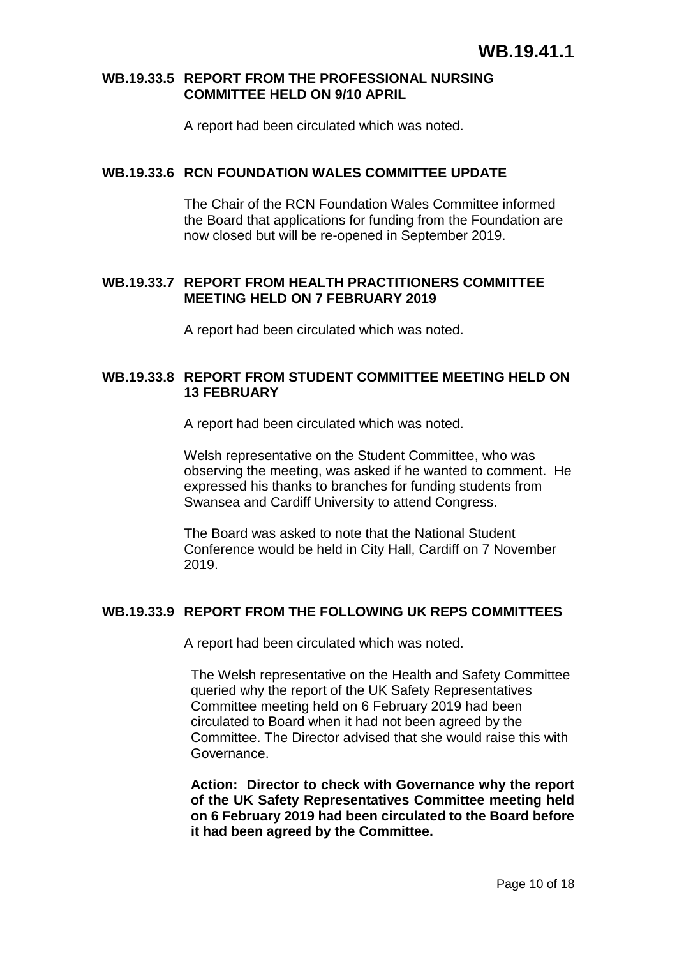#### **WB.19.33.5 REPORT FROM THE PROFESSIONAL NURSING COMMITTEE HELD ON 9/10 APRIL**

A report had been circulated which was noted.

### **WB.19.33.6 RCN FOUNDATION WALES COMMITTEE UPDATE**

The Chair of the RCN Foundation Wales Committee informed the Board that applications for funding from the Foundation are now closed but will be re-opened in September 2019.

## **WB.19.33.7 REPORT FROM HEALTH PRACTITIONERS COMMITTEE MEETING HELD ON 7 FEBRUARY 2019**

A report had been circulated which was noted.

## **WB.19.33.8 REPORT FROM STUDENT COMMITTEE MEETING HELD ON 13 FEBRUARY**

A report had been circulated which was noted.

Welsh representative on the Student Committee, who was observing the meeting, was asked if he wanted to comment. He expressed his thanks to branches for funding students from Swansea and Cardiff University to attend Congress.

The Board was asked to note that the National Student Conference would be held in City Hall, Cardiff on 7 November 2019.

## **WB.19.33.9 REPORT FROM THE FOLLOWING UK REPS COMMITTEES**

A report had been circulated which was noted.

The Welsh representative on the Health and Safety Committee queried why the report of the UK Safety Representatives Committee meeting held on 6 February 2019 had been circulated to Board when it had not been agreed by the Committee. The Director advised that she would raise this with Governance.

**Action: Director to check with Governance why the report of the UK Safety Representatives Committee meeting held on 6 February 2019 had been circulated to the Board before it had been agreed by the Committee.**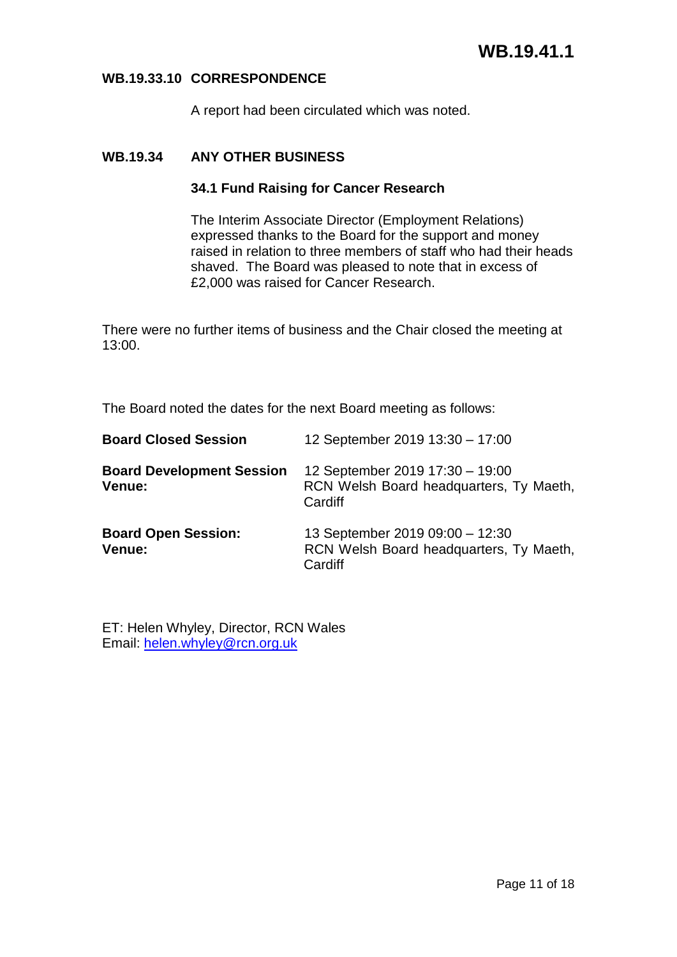### **WB.19.33.10 CORRESPONDENCE**

A report had been circulated which was noted.

## **WB.19.34 ANY OTHER BUSINESS**

### **34.1 Fund Raising for Cancer Research**

The Interim Associate Director (Employment Relations) expressed thanks to the Board for the support and money raised in relation to three members of staff who had their heads shaved. The Board was pleased to note that in excess of £2,000 was raised for Cancer Research.

There were no further items of business and the Chair closed the meeting at 13:00.

The Board noted the dates for the next Board meeting as follows:

| <b>Board Closed Session</b>                | 12 September 2019 13:30 - 17:00                                                       |
|--------------------------------------------|---------------------------------------------------------------------------------------|
| <b>Board Development Session</b><br>Venue: | 12 September 2019 17:30 - 19:00<br>RCN Welsh Board headquarters, Ty Maeth,<br>Cardiff |
| <b>Board Open Session:</b><br>Venue:       | 13 September 2019 09:00 - 12:30<br>RCN Welsh Board headquarters, Ty Maeth,<br>Cardiff |

ET: Helen Whyley, Director, RCN Wales Email: [helen.whyley@rcn.org.uk](mailto:helen.whyley@rcn.org.uk)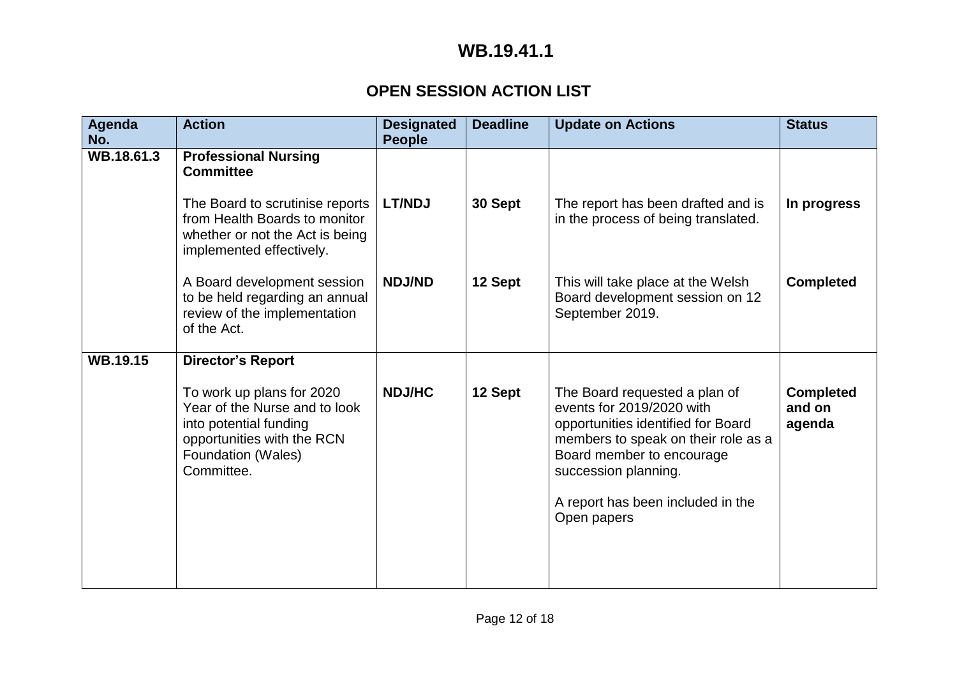## **OPEN SESSION ACTION LIST**

| Agenda<br>No.   | <b>Action</b>                                                                                                                                          | <b>Designated</b><br><b>People</b> | <b>Deadline</b> | <b>Update on Actions</b>                                                                                                                                                                                                                         | <b>Status</b>                        |
|-----------------|--------------------------------------------------------------------------------------------------------------------------------------------------------|------------------------------------|-----------------|--------------------------------------------------------------------------------------------------------------------------------------------------------------------------------------------------------------------------------------------------|--------------------------------------|
| WB.18.61.3      | <b>Professional Nursing</b><br><b>Committee</b>                                                                                                        |                                    |                 |                                                                                                                                                                                                                                                  |                                      |
|                 | The Board to scrutinise reports<br>from Health Boards to monitor<br>whether or not the Act is being<br>implemented effectively.                        | <b>LT/NDJ</b>                      | 30 Sept         | The report has been drafted and is<br>in the process of being translated.                                                                                                                                                                        | In progress                          |
|                 | A Board development session<br>to be held regarding an annual<br>review of the implementation<br>of the Act.                                           | <b>NDJ/ND</b>                      | 12 Sept         | This will take place at the Welsh<br>Board development session on 12<br>September 2019.                                                                                                                                                          | <b>Completed</b>                     |
| <b>WB.19.15</b> | <b>Director's Report</b>                                                                                                                               |                                    |                 |                                                                                                                                                                                                                                                  |                                      |
|                 | To work up plans for 2020<br>Year of the Nurse and to look<br>into potential funding<br>opportunities with the RCN<br>Foundation (Wales)<br>Committee. | <b>NDJ/HC</b>                      | 12 Sept         | The Board requested a plan of<br>events for 2019/2020 with<br>opportunities identified for Board<br>members to speak on their role as a<br>Board member to encourage<br>succession planning.<br>A report has been included in the<br>Open papers | <b>Completed</b><br>and on<br>agenda |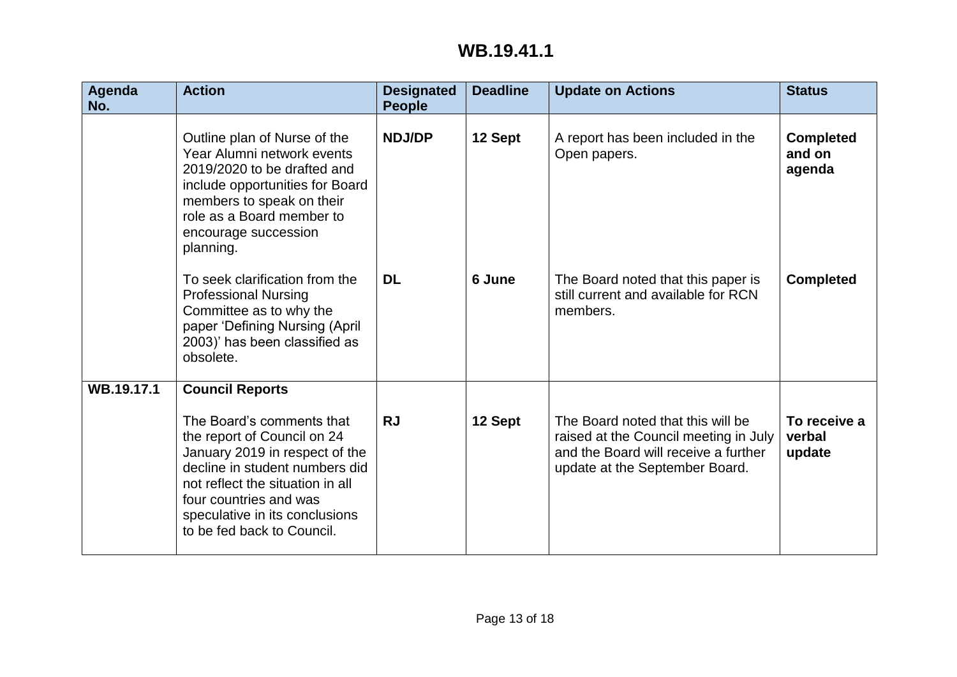| Agenda<br>No. | <b>Action</b>                                                                                                                                                                                                                                                                        | <b>Designated</b><br><b>People</b> | <b>Deadline</b> | <b>Update on Actions</b>                                                                                                                             | <b>Status</b>                        |
|---------------|--------------------------------------------------------------------------------------------------------------------------------------------------------------------------------------------------------------------------------------------------------------------------------------|------------------------------------|-----------------|------------------------------------------------------------------------------------------------------------------------------------------------------|--------------------------------------|
|               | Outline plan of Nurse of the<br>Year Alumni network events<br>2019/2020 to be drafted and<br>include opportunities for Board<br>members to speak on their<br>role as a Board member to<br>encourage succession<br>planning.                                                          | <b>NDJ/DP</b>                      | 12 Sept         | A report has been included in the<br>Open papers.                                                                                                    | <b>Completed</b><br>and on<br>agenda |
|               | To seek clarification from the<br><b>Professional Nursing</b><br>Committee as to why the<br>paper 'Defining Nursing (April<br>2003)' has been classified as<br>obsolete.                                                                                                             | <b>DL</b>                          | 6 June          | The Board noted that this paper is<br>still current and available for RCN<br>members.                                                                | <b>Completed</b>                     |
| WB.19.17.1    | <b>Council Reports</b><br>The Board's comments that<br>the report of Council on 24<br>January 2019 in respect of the<br>decline in student numbers did<br>not reflect the situation in all<br>four countries and was<br>speculative in its conclusions<br>to be fed back to Council. | <b>RJ</b>                          | 12 Sept         | The Board noted that this will be<br>raised at the Council meeting in July<br>and the Board will receive a further<br>update at the September Board. | To receive a<br>verbal<br>update     |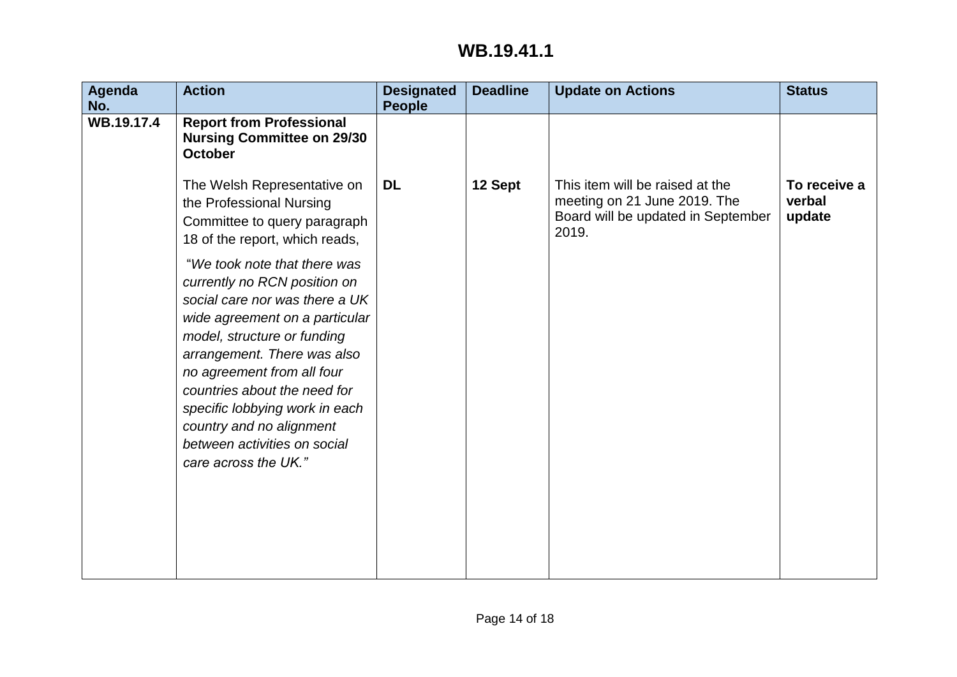| <b>Agenda</b> | <b>Action</b>                                                                                                                                                                                                                                                                                                                                                                      | <b>Designated</b> | <b>Deadline</b> | <b>Update on Actions</b>                                                                                       | <b>Status</b>                    |
|---------------|------------------------------------------------------------------------------------------------------------------------------------------------------------------------------------------------------------------------------------------------------------------------------------------------------------------------------------------------------------------------------------|-------------------|-----------------|----------------------------------------------------------------------------------------------------------------|----------------------------------|
| No.           |                                                                                                                                                                                                                                                                                                                                                                                    | <b>People</b>     |                 |                                                                                                                |                                  |
| WB.19.17.4    | <b>Report from Professional</b><br><b>Nursing Committee on 29/30</b><br><b>October</b>                                                                                                                                                                                                                                                                                             |                   |                 |                                                                                                                |                                  |
|               | The Welsh Representative on<br>the Professional Nursing<br>Committee to query paragraph<br>18 of the report, which reads,                                                                                                                                                                                                                                                          | <b>DL</b>         | 12 Sept         | This item will be raised at the<br>meeting on 21 June 2019. The<br>Board will be updated in September<br>2019. | To receive a<br>verbal<br>update |
|               | "We took note that there was<br>currently no RCN position on<br>social care nor was there a UK<br>wide agreement on a particular<br>model, structure or funding<br>arrangement. There was also<br>no agreement from all four<br>countries about the need for<br>specific lobbying work in each<br>country and no alignment<br>between activities on social<br>care across the UK." |                   |                 |                                                                                                                |                                  |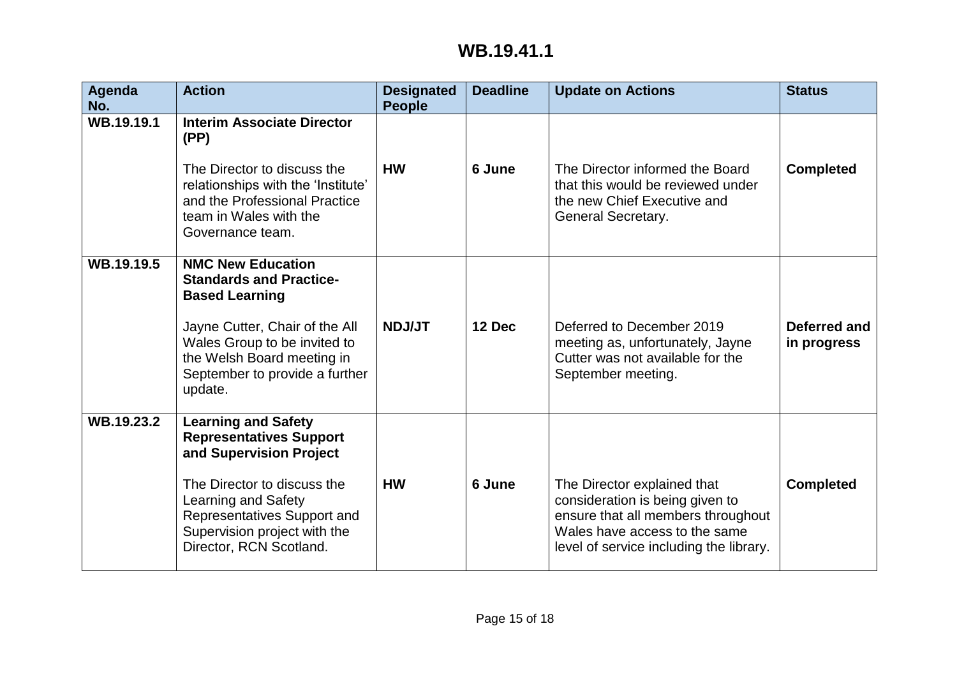| Agenda<br>No. | <b>Action</b>                                                                                                                                                                                                                           | <b>Designated</b><br><b>People</b> | <b>Deadline</b> | <b>Update on Actions</b>                                                                                                                                                         | <b>Status</b>               |
|---------------|-----------------------------------------------------------------------------------------------------------------------------------------------------------------------------------------------------------------------------------------|------------------------------------|-----------------|----------------------------------------------------------------------------------------------------------------------------------------------------------------------------------|-----------------------------|
| WB.19.19.1    | <b>Interim Associate Director</b><br>(PP)<br>The Director to discuss the<br>relationships with the 'Institute'<br>and the Professional Practice<br>team in Wales with the<br>Governance team.                                           | <b>HW</b>                          | 6 June          | The Director informed the Board<br>that this would be reviewed under<br>the new Chief Executive and<br>General Secretary.                                                        | <b>Completed</b>            |
| WB.19.19.5    | <b>NMC New Education</b><br><b>Standards and Practice-</b><br><b>Based Learning</b><br>Jayne Cutter, Chair of the All<br>Wales Group to be invited to<br>the Welsh Board meeting in<br>September to provide a further<br>update.        | <b>NDJ/JT</b>                      | 12 Dec          | Deferred to December 2019<br>meeting as, unfortunately, Jayne<br>Cutter was not available for the<br>September meeting.                                                          | Deferred and<br>in progress |
| WB.19.23.2    | <b>Learning and Safety</b><br><b>Representatives Support</b><br>and Supervision Project<br>The Director to discuss the<br>Learning and Safety<br>Representatives Support and<br>Supervision project with the<br>Director, RCN Scotland. | <b>HW</b>                          | 6 June          | The Director explained that<br>consideration is being given to<br>ensure that all members throughout<br>Wales have access to the same<br>level of service including the library. | <b>Completed</b>            |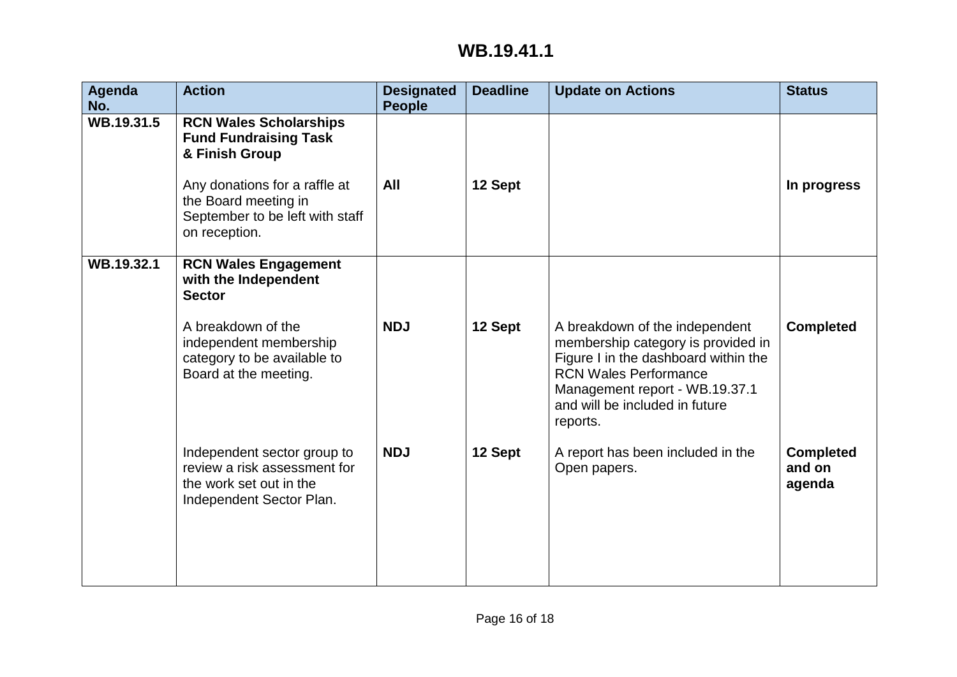| Agenda<br>No. | <b>Action</b>                                                                                                                                                                                | <b>Designated</b><br><b>People</b> | <b>Deadline</b> | <b>Update on Actions</b>                                                                                                                                                                                                     | <b>Status</b>                        |
|---------------|----------------------------------------------------------------------------------------------------------------------------------------------------------------------------------------------|------------------------------------|-----------------|------------------------------------------------------------------------------------------------------------------------------------------------------------------------------------------------------------------------------|--------------------------------------|
| WB.19.31.5    | <b>RCN Wales Scholarships</b><br><b>Fund Fundraising Task</b><br>& Finish Group<br>Any donations for a raffle at<br>the Board meeting in<br>September to be left with staff<br>on reception. | All                                | 12 Sept         |                                                                                                                                                                                                                              | In progress                          |
| WB.19.32.1    | <b>RCN Wales Engagement</b><br>with the Independent<br><b>Sector</b>                                                                                                                         |                                    |                 |                                                                                                                                                                                                                              |                                      |
|               | A breakdown of the<br>independent membership<br>category to be available to<br>Board at the meeting.                                                                                         | <b>NDJ</b>                         | 12 Sept         | A breakdown of the independent<br>membership category is provided in<br>Figure I in the dashboard within the<br><b>RCN Wales Performance</b><br>Management report - WB.19.37.1<br>and will be included in future<br>reports. | <b>Completed</b>                     |
|               | Independent sector group to<br>review a risk assessment for<br>the work set out in the<br>Independent Sector Plan.                                                                           | <b>NDJ</b>                         | 12 Sept         | A report has been included in the<br>Open papers.                                                                                                                                                                            | <b>Completed</b><br>and on<br>agenda |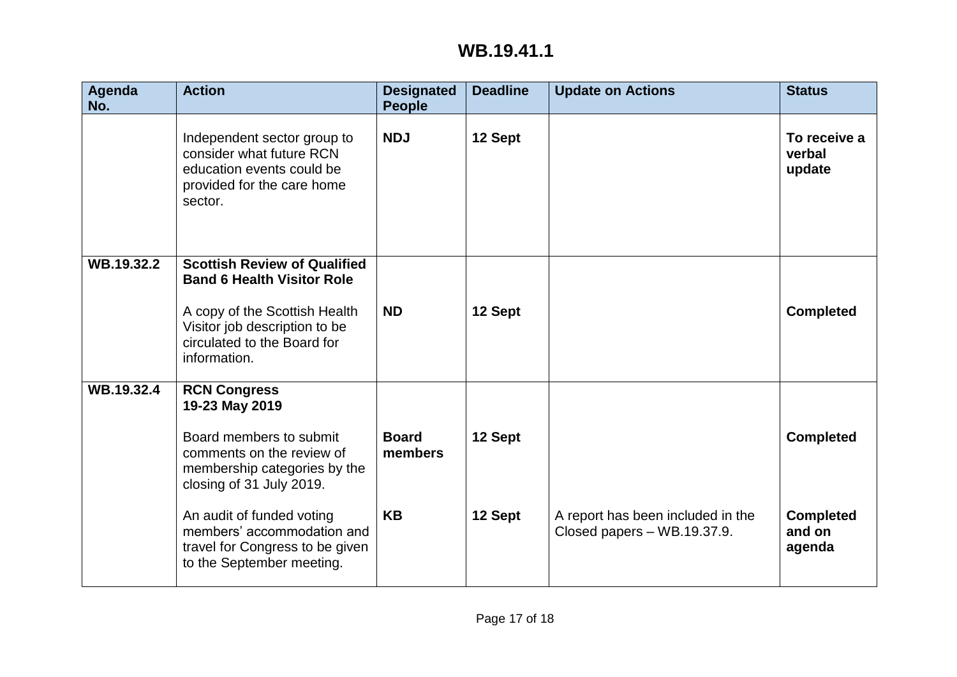| Agenda<br>No. | <b>Action</b>                                                                                                                                                                             | <b>Designated</b><br><b>People</b> | <b>Deadline</b> | <b>Update on Actions</b>                                         | <b>Status</b>                        |
|---------------|-------------------------------------------------------------------------------------------------------------------------------------------------------------------------------------------|------------------------------------|-----------------|------------------------------------------------------------------|--------------------------------------|
|               | Independent sector group to<br>consider what future RCN<br>education events could be<br>provided for the care home<br>sector.                                                             | <b>NDJ</b>                         | 12 Sept         |                                                                  | To receive a<br>verbal<br>update     |
| WB.19.32.2    | <b>Scottish Review of Qualified</b><br><b>Band 6 Health Visitor Role</b><br>A copy of the Scottish Health<br>Visitor job description to be<br>circulated to the Board for<br>information. | <b>ND</b>                          | 12 Sept         |                                                                  | <b>Completed</b>                     |
| WB.19.32.4    | <b>RCN Congress</b><br>19-23 May 2019<br>Board members to submit<br>comments on the review of<br>membership categories by the<br>closing of 31 July 2019.                                 | <b>Board</b><br>members            | 12 Sept         |                                                                  | <b>Completed</b>                     |
|               | An audit of funded voting<br>members' accommodation and<br>travel for Congress to be given<br>to the September meeting.                                                                   | <b>KB</b>                          | 12 Sept         | A report has been included in the<br>Closed papers - WB.19.37.9. | <b>Completed</b><br>and on<br>agenda |